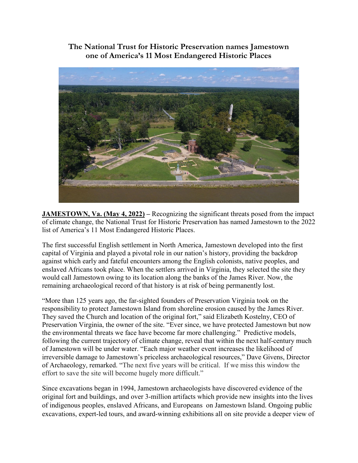**The National Trust for Historic Preservation names Jamestown one of America's 11 Most Endangered Historic Places**



**JAMESTOWN, Va. (May 4, 2022) –** Recognizing the significant threats posed from the impact of climate change, the National Trust for Historic Preservation has named Jamestown to the 2022 list of America's 11 Most Endangered Historic Places.

The first successful English settlement in North America, Jamestown developed into the first capital of Virginia and played a pivotal role in our nation's history, providing the backdrop against which early and fateful encounters among the English colonists, native peoples, and enslaved Africans took place. When the settlers arrived in Virginia, they selected the site they would call Jamestown owing to its location along the banks of the James River. Now, the remaining archaeological record of that history is at risk of being permanently lost.

"More than 125 years ago, the far-sighted founders of Preservation Virginia took on the responsibility to protect Jamestown Island from shoreline erosion caused by the James River. They saved the Church and location of the original fort," said Elizabeth Kostelny, CEO of Preservation Virginia, the owner of the site. "Ever since, we have protected Jamestown but now the environmental threats we face have become far more challenging." Predictive models, following the current trajectory of climate change, reveal that within the next half-century much of Jamestown will be under water. "Each major weather event increases the likelihood of irreversible damage to Jamestown's priceless archaeological resources," Dave Givens, Director of Archaeology, remarked. "The next five years will be critical. If we miss this window the effort to save the site will become hugely more difficult."

Since excavations began in 1994, Jamestown archaeologists have discovered evidence of the original fort and buildings, and over 3-million artifacts which provide new insights into the lives of indigenous peoples, enslaved Africans, and Europeans on Jamestown Island. Ongoing public excavations, expert-led tours, and award-winning exhibitions all on site provide a deeper view of